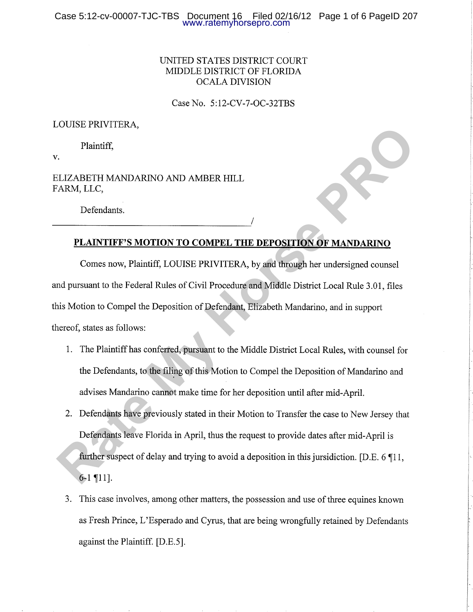## UNITED STATES DISTRICT COURT MIDDLE DISTRICT OF FLORIDA OCALA DIVISION

Case No. 5:12-CY -7-OC-32TBS

### LOUISE PRIVITERA,

Plaintiff,

v.

ELIZABETH MANDARINO AND AMBER HILL FARM, LLC,

Defendants.

## PLAINTIFF'S MOTION TO COMPEL THE DEPOSITION OF MANDARINO

Comes now, Plaintiff, LOUISE PRIVITERA, by and through her undersigned counsel and pursuant to the Federal Rules of Civil Procedure and Middle District Local Rule 3.01, files this Motion to Compel the Deposition of Defendant, Elizabeth Mandarino, and in support thereof, states as follows: **Plaintiff,**<br> **Rate My Horse PROPIET MANDARINO AND AMBER HILL**<br> **RAKM, LLC,**<br> **REATLY MANDARINO AND AMBER HILL**<br> **RATE MY HORSE PROPIET THE DEPOSITION OF MANDARINO**<br> **Comes now, Plaintiff, LOUISE PRIVITIERA, by and through** 

- 1. The Plaintiff has conferred, pursuant to the Middle District Local Rules, with counsel for the Defendants, to the filing of this Motion to Compel the Deposition of Mandarino and advises Mandarino cannot make time for her deposition until after mid-April.
- 2. Defendants have previously stated in their Motion to Transfer the case to New Jersey that Defendants leave Florida in April, thus the request to provide dates after mid-April is further suspect of delay and trying to avoid a deposition in this jursidiction. [D.E. 6  $\P$ 11,  $6-1$  | 11].
- 3. This case involves, among other matters, the possession and use of three equines known as Fresh Prince, L'Esperado and Cyrus, that are being wrongfully retained by Defendants against the Plaintiff. [D.E.5].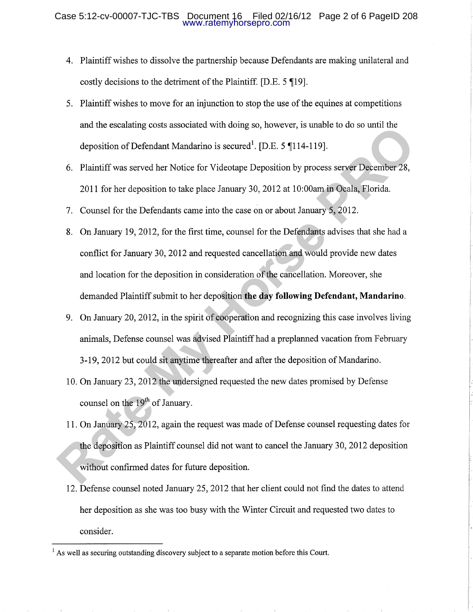- Plaintiff wishes to dissolve the partnership because Defendants are making unilateral and 4. costly decisions to the detriment of the Plaintiff. [D.E. 5 [19].
- Plaintiff wishes to move for an injunction to stop the use of the equines at competitions 5. and the escalating costs associated with doing so, however, is unable to do so until the deposition of Defendant Mandarino is secured<sup>1</sup>. [D.E. 5  $\P$ 114-119].
- 6. Plaintiff was served her Notice for Videotape Deposition by process server December 28, 2011 for her deposition to take place January 30,2012 at 10:00am in Ocala, Florida.
- 7. Counsel for the Defendants came into the case on or about January 5, 2012.
- 8. On January 19, 2012, for the first time, counsel for the Defendants advises that she had a conflict for January 30,2012 and requested cancellation and would provide new dates and location for the deposition in consideration of the cancellation. Moreover, she demanded Plaintiff submit to her deposition the day following Defendant, Mandarino. and the escalating costs associated with doing so, nowever, is unknowned on so until the deposition of Defendant Mandarino is secured<sup>1</sup>. [D.E. 5 **f**114-119].<br>
6. Plaintiff was served her Notice for Videotape Deposition b
	- 9. On January 20, 2012, in the spirit of cooperation and recognizing this case involves living animals, Defense counsel was advised Plaintiff had a preplanned vacation from February 3-19,2012 but could sit anytime thereafter and after the deposition of Mandarino.
	- 10. On January 23, 2012 the undersigned requested the new dates promised by Defense counsel on the  $19<sup>th</sup>$  of January.
	- <sup>1</sup>1. On January 25,2012, again the request was made of Defense counsel requesting dates for the deposition as Plaintiff counsel did not want to cancel the January 30, 2012 deposition without confirmed dates for future deposition.
	- 12. Defense counsel noted January 25,2012 that her client could not find the dates to attend her deposition as she was too busy with the Winter Circuit and requested two dates to consider.

 $<sup>1</sup>$  As well as securing outstanding discovery subject to a separate motion before this Court.</sup>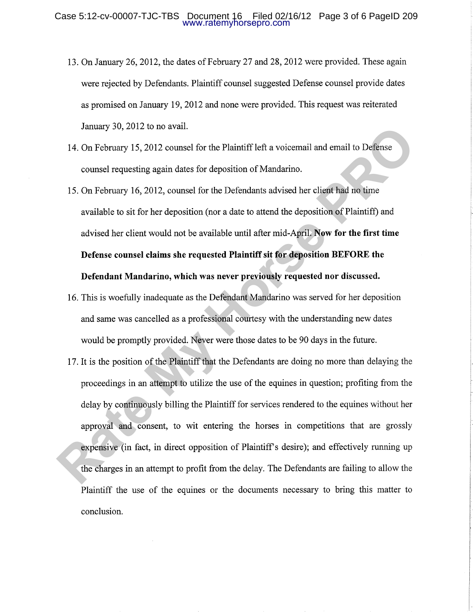- 13. On January 26, 2012, the dates of February 27 and 28, 2012 were provided. These again were rejected by Defendants. Plaintiff counsel suggested Defense counsel provide dates as promised on January 19,2012 and none were provided. This request was reiterated January 30,2012 to no avail.
- 14. On February 15,2012 counsel for the Plaintiff left a voicemail and email to Defense counsel requesting again dates for deposition of Mandarino.
- 15. On February 16,2012, counsel for the Defendants advised her client had no time available to sit for her deposition (nor a date to attend the deposition of Plaintiff) and advised her client would not be available until after mid-April. Now for the first time Defense counsel claims she requested Plaintiff sit for deposition BEFORE the Defendant Mandarino, which was never previously requested nor discussed.
- 16. This is woefully inadequate as the Defendant Mandarino was served for her deposition and same was cancelled as a professional courtesy with the understanding new dates would be promptly provided. Never were those dates to be 90 days in the future.
- 17. It is the position of the Plaintiff that the Defendants are doing no more than delaying the proceedings in an attempt to utilize the use of the equines in question; profiting from the delay by continuously billing the Plaintiff for services rendered to the equines without her approval and consent, to wit entering the horses in competitions that are grossly expensive (in fact, in direct opposition of Plaintiff's desire); and effectively running up the charges in an attempt to profit from the delay. The Defendants are failing to allow the Plaintiff the use of the equines or the documents necessary to bring this matter to conclusion. January 30, 2012 to no avait.<br>
14. On February 15, 2012 counsel for the Plaintiff left a voicemail and email to Defense<br>
counsel requesting again dates for deposition of Mandarino.<br>
15. On February 16, 2012, counsel for th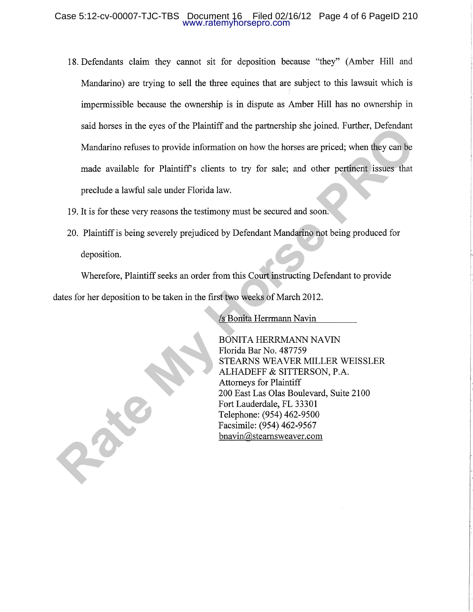#### Case 5:12-cv-00007-TJC-TBS Document 16 Filed 02/16/12 Page 4 of 6 PageID 210 www.ratemyhorsepro.com

- 18. Defendants claim they cannot sit for deposition because "they" (Amber Hill and Mandarino) are trying to sell the three equines that are subject to this lawsuit which is impermissible because the ownership is in dispute as Amber Hill has no ownership in said horses in the eyes of the Plaintiff and the partnership she joined. Further, Defendant Mandarino refuses to provide information on how the horses are priced; when they can be made available for Plaintiff's clients to try for sale; and other pertinent issues that preclude a lawful sale under Florida law. Sala norses in the eyes of the Planuth and the partnership she joined. Puttiner, Lorendant<br>
Mandarino refuses to provide information on how the horses are priced; when they can be<br>
made available for Plaintiff's clients to
	- 19. It is for these very reasons the testimony must be secured and soon.
	- 20. Plaíntiff is being severely prejudiced by Defendant Mandarino not being produced for deposition.

Wherefore, Plaintiff seeks an order from this Court instructing Defendant to provide dates for her deposition to be taken in the first two weeks of March 2012.

/s Bonita Herrmann Navin

BONITA HERRMANN NAVIN Florida Bar No. 487759 STEARNS WEAVER MILLER WEISSLER ALHADEFF & SITTERSON, P.A. Attorneys for Plaintiff 200 East Las Olas Boulevard, Suite 2100 Fort Lauderdale, FL 33301 Telephone: (954) 462-9500 Facsimile: (954) 462-9567 bnavin@ stearnsweaver. com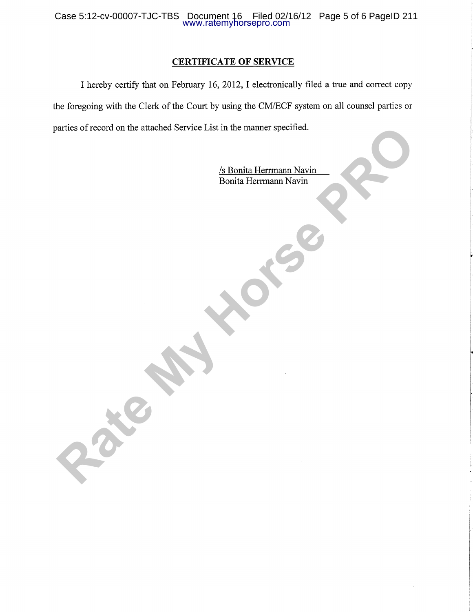### CERTIFICATE OF SERVICE

I hereby certify that on February 16,2012,I electronically filed a true and correct copy the foregoing with the Clerk of the Court by using the CM/ECF system on all counsel parties or parties of record on the attached Service List in the manner specified. Experience of on the attached Service List in the manner specified.

/s Bonita Herrmann Navin Bonita Herrmann Navin